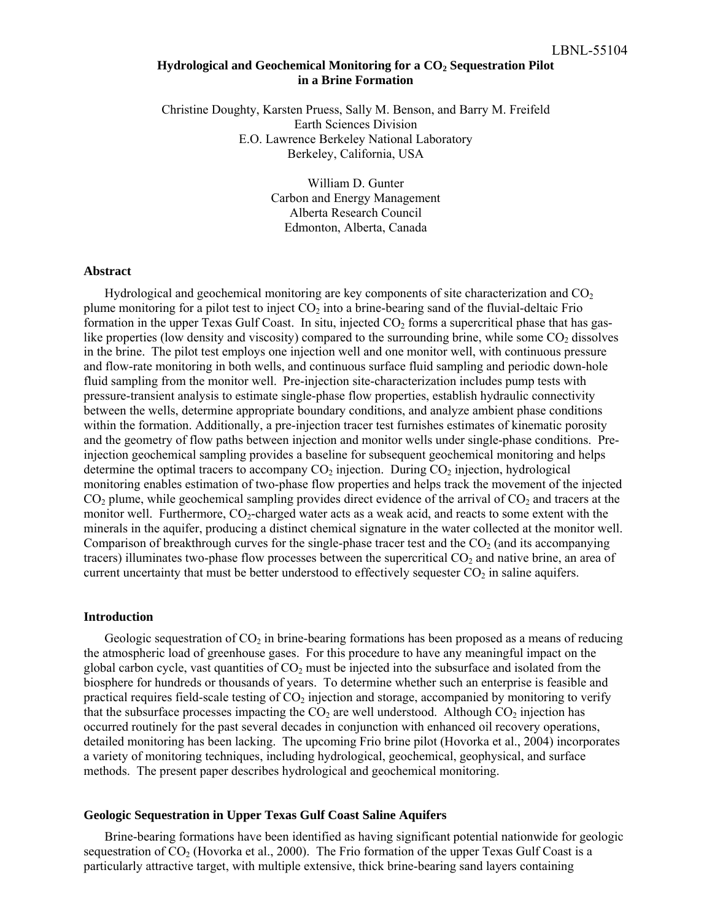# **Hydrological and Geochemical Monitoring for a CO<sub>2</sub> Sequestration Pilot in a Brine Formation**

Christine Doughty, Karsten Pruess, Sally M. Benson, and Barry M. Freifeld Earth Sciences Division E.O. Lawrence Berkeley National Laboratory Berkeley, California, USA

> William D. Gunter Carbon and Energy Management Alberta Research Council Edmonton, Alberta, Canada

#### **Abstract**

Hydrological and geochemical monitoring are key components of site characterization and  $CO<sub>2</sub>$ plume monitoring for a pilot test to inject  $CO<sub>2</sub>$  into a brine-bearing sand of the fluvial-deltaic Frio formation in the upper Texas Gulf Coast. In situ, injected  $CO<sub>2</sub>$  forms a supercritical phase that has gaslike properties (low density and viscosity) compared to the surrounding brine, while some  $CO<sub>2</sub>$  dissolves in the brine. The pilot test employs one injection well and one monitor well, with continuous pressure and flow-rate monitoring in both wells, and continuous surface fluid sampling and periodic down-hole fluid sampling from the monitor well. Pre-injection site-characterization includes pump tests with pressure-transient analysis to estimate single-phase flow properties, establish hydraulic connectivity between the wells, determine appropriate boundary conditions, and analyze ambient phase conditions within the formation. Additionally, a pre-injection tracer test furnishes estimates of kinematic porosity and the geometry of flow paths between injection and monitor wells under single-phase conditions. Preinjection geochemical sampling provides a baseline for subsequent geochemical monitoring and helps determine the optimal tracers to accompany  $CO<sub>2</sub>$  injection. During  $CO<sub>2</sub>$  injection, hydrological monitoring enables estimation of two-phase flow properties and helps track the movement of the injected  $CO<sub>2</sub>$  plume, while geochemical sampling provides direct evidence of the arrival of  $CO<sub>2</sub>$  and tracers at the monitor well. Furthermore,  $CO_2$ -charged water acts as a weak acid, and reacts to some extent with the minerals in the aquifer, producing a distinct chemical signature in the water collected at the monitor well. Comparison of breakthrough curves for the single-phase tracer test and the  $CO<sub>2</sub>$  (and its accompanying tracers) illuminates two-phase flow processes between the supercritical  $CO<sub>2</sub>$  and native brine, an area of current uncertainty that must be better understood to effectively sequester  $CO<sub>2</sub>$  in saline aquifers.

#### **Introduction**

Geologic sequestration of  $CO<sub>2</sub>$  in brine-bearing formations has been proposed as a means of reducing the atmospheric load of greenhouse gases. For this procedure to have any meaningful impact on the global carbon cycle, vast quantities of  $CO<sub>2</sub>$  must be injected into the subsurface and isolated from the biosphere for hundreds or thousands of years. To determine whether such an enterprise is feasible and practical requires field-scale testing of  $CO<sub>2</sub>$  injection and storage, accompanied by monitoring to verify that the subsurface processes impacting the  $CO<sub>2</sub>$  are well understood. Although  $CO<sub>2</sub>$  injection has occurred routinely for the past several decades in conjunction with enhanced oil recovery operations, detailed monitoring has been lacking. The upcoming Frio brine pilot (Hovorka et al., 2004) incorporates a variety of monitoring techniques, including hydrological, geochemical, geophysical, and surface methods. The present paper describes hydrological and geochemical monitoring.

## **Geologic Sequestration in Upper Texas Gulf Coast Saline Aquifers**

Brine-bearing formations have been identified as having significant potential nationwide for geologic sequestration of  $CO<sub>2</sub>$  (Hovorka et al., 2000). The Frio formation of the upper Texas Gulf Coast is a particularly attractive target, with multiple extensive, thick brine-bearing sand layers containing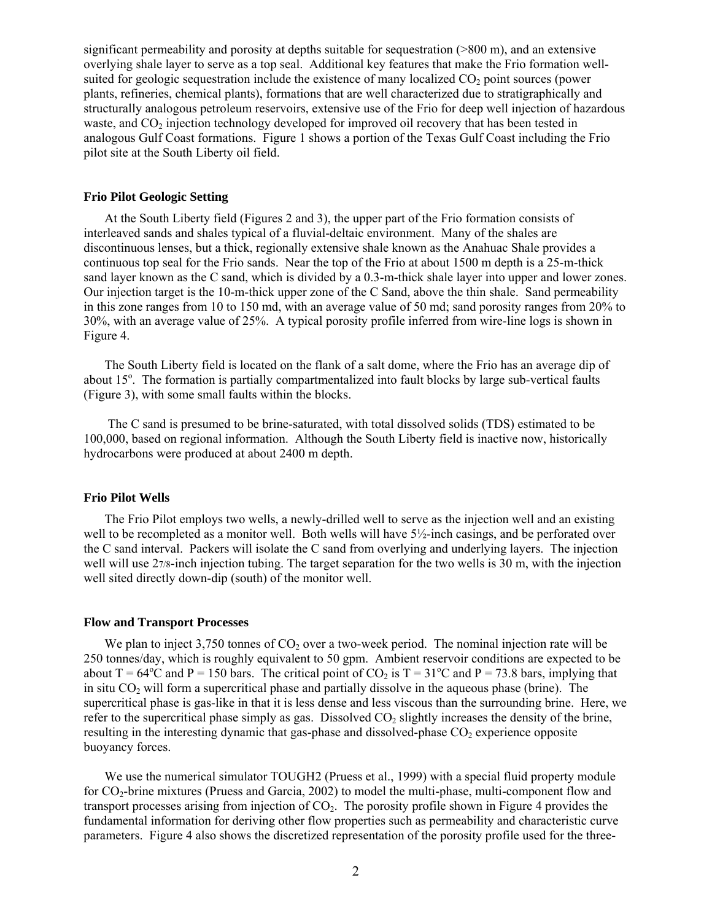significant permeability and porosity at depths suitable for sequestration (>800 m), and an extensive overlying shale layer to serve as a top seal. Additional key features that make the Frio formation wellsuited for geologic sequestration include the existence of many localized  $CO<sub>2</sub>$  point sources (power plants, refineries, chemical plants), formations that are well characterized due to stratigraphically and structurally analogous petroleum reservoirs, extensive use of the Frio for deep well injection of hazardous waste, and CO<sub>2</sub> injection technology developed for improved oil recovery that has been tested in analogous Gulf Coast formations. Figure 1 shows a portion of the Texas Gulf Coast including the Frio pilot site at the South Liberty oil field.

#### **Frio Pilot Geologic Setting**

At the South Liberty field (Figures 2 and 3), the upper part of the Frio formation consists of interleaved sands and shales typical of a fluvial-deltaic environment. Many of the shales are discontinuous lenses, but a thick, regionally extensive shale known as the Anahuac Shale provides a continuous top seal for the Frio sands. Near the top of the Frio at about 1500 m depth is a 25-m-thick sand layer known as the C sand, which is divided by a 0.3-m-thick shale layer into upper and lower zones. Our injection target is the 10-m-thick upper zone of the C Sand, above the thin shale. Sand permeability in this zone ranges from 10 to 150 md, with an average value of 50 md; sand porosity ranges from 20% to 30%, with an average value of 25%. A typical porosity profile inferred from wire-line logs is shown in Figure 4.

The South Liberty field is located on the flank of a salt dome, where the Frio has an average dip of about 15°. The formation is partially compartmentalized into fault blocks by large sub-vertical faults (Figure 3), with some small faults within the blocks.

 The C sand is presumed to be brine-saturated, with total dissolved solids (TDS) estimated to be 100,000, based on regional information. Although the South Liberty field is inactive now, historically hydrocarbons were produced at about 2400 m depth.

## **Frio Pilot Wells**

The Frio Pilot employs two wells, a newly-drilled well to serve as the injection well and an existing well to be recompleted as a monitor well. Both wells will have  $5\frac{1}{2}$ -inch casings, and be perforated over the C sand interval. Packers will isolate the C sand from overlying and underlying layers. The injection well will use 27/8-inch injection tubing. The target separation for the two wells is 30 m, with the injection well sited directly down-dip (south) of the monitor well.

### **Flow and Transport Processes**

We plan to inject 3,750 tonnes of  $CO<sub>2</sub>$  over a two-week period. The nominal injection rate will be 250 tonnes/day, which is roughly equivalent to 50 gpm. Ambient reservoir conditions are expected to be about T =  $64^{\circ}$ C and P = 150 bars. The critical point of CO<sub>2</sub> is T = 31<sup>o</sup>C and P = 73.8 bars, implying that in situ  $CO<sub>2</sub>$  will form a supercritical phase and partially dissolve in the aqueous phase (brine). The supercritical phase is gas-like in that it is less dense and less viscous than the surrounding brine. Here, we refer to the supercritical phase simply as gas. Dissolved  $CO<sub>2</sub>$  slightly increases the density of the brine, resulting in the interesting dynamic that gas-phase and dissolved-phase  $CO<sub>2</sub>$  experience opposite buoyancy forces.

We use the numerical simulator TOUGH2 (Pruess et al., 1999) with a special fluid property module for CO2-brine mixtures (Pruess and Garcia, 2002) to model the multi-phase, multi-component flow and transport processes arising from injection of  $CO<sub>2</sub>$ . The porosity profile shown in Figure 4 provides the fundamental information for deriving other flow properties such as permeability and characteristic curve parameters. Figure 4 also shows the discretized representation of the porosity profile used for the three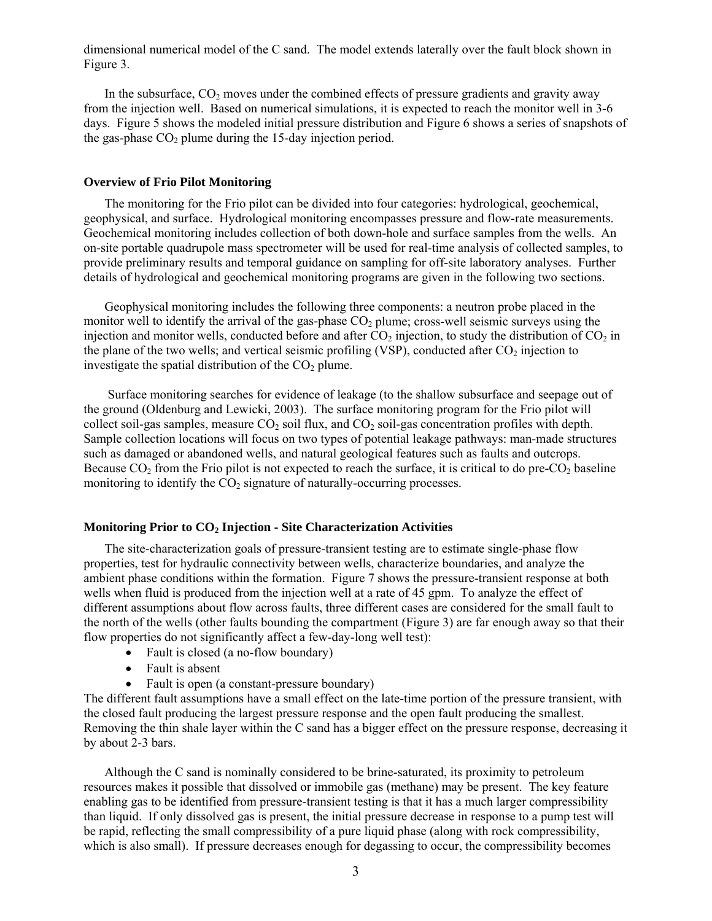dimensional numerical model of the C sand. The model extends laterally over the fault block shown in Figure 3.

In the subsurface,  $CO<sub>2</sub>$  moves under the combined effects of pressure gradients and gravity away from the injection well. Based on numerical simulations, it is expected to reach the monitor well in 3-6 days. Figure 5 shows the modeled initial pressure distribution and Figure 6 shows a series of snapshots of the gas-phase  $CO<sub>2</sub>$  plume during the 15-day injection period.

### **Overview of Frio Pilot Monitoring**

The monitoring for the Frio pilot can be divided into four categories: hydrological, geochemical, geophysical, and surface. Hydrological monitoring encompasses pressure and flow-rate measurements. Geochemical monitoring includes collection of both down-hole and surface samples from the wells. An on-site portable quadrupole mass spectrometer will be used for real-time analysis of collected samples, to provide preliminary results and temporal guidance on sampling for off-site laboratory analyses. Further details of hydrological and geochemical monitoring programs are given in the following two sections.

Geophysical monitoring includes the following three components: a neutron probe placed in the monitor well to identify the arrival of the gas-phase  $CO<sub>2</sub>$  plume; cross-well seismic surveys using the injection and monitor wells, conducted before and after  $CO<sub>2</sub>$  injection, to study the distribution of  $CO<sub>2</sub>$  in the plane of the two wells; and vertical seismic profiling (VSP), conducted after  $CO<sub>2</sub>$  injection to investigate the spatial distribution of the  $CO<sub>2</sub>$  plume.

 Surface monitoring searches for evidence of leakage (to the shallow subsurface and seepage out of the ground (Oldenburg and Lewicki, 2003). The surface monitoring program for the Frio pilot will collect soil-gas samples, measure  $CO<sub>2</sub>$  soil flux, and  $CO<sub>2</sub>$  soil-gas concentration profiles with depth. Sample collection locations will focus on two types of potential leakage pathways: man-made structures such as damaged or abandoned wells, and natural geological features such as faults and outcrops. Because  $CO<sub>2</sub>$  from the Frio pilot is not expected to reach the surface, it is critical to do pre- $CO<sub>2</sub>$  baseline monitoring to identify the  $CO<sub>2</sub>$  signature of naturally-occurring processes.

## **Monitoring Prior to CO<sub>2</sub> Injection - Site Characterization Activities**

The site-characterization goals of pressure-transient testing are to estimate single-phase flow properties, test for hydraulic connectivity between wells, characterize boundaries, and analyze the ambient phase conditions within the formation. Figure 7 shows the pressure-transient response at both wells when fluid is produced from the injection well at a rate of 45 gpm. To analyze the effect of different assumptions about flow across faults, three different cases are considered for the small fault to the north of the wells (other faults bounding the compartment (Figure 3) are far enough away so that their flow properties do not significantly affect a few-day-long well test):

- Fault is closed (a no-flow boundary)
- Fault is absent
- Fault is open (a constant-pressure boundary)

The different fault assumptions have a small effect on the late-time portion of the pressure transient, with the closed fault producing the largest pressure response and the open fault producing the smallest. Removing the thin shale layer within the C sand has a bigger effect on the pressure response, decreasing it by about 2-3 bars.

Although the C sand is nominally considered to be brine-saturated, its proximity to petroleum resources makes it possible that dissolved or immobile gas (methane) may be present. The key feature enabling gas to be identified from pressure-transient testing is that it has a much larger compressibility than liquid. If only dissolved gas is present, the initial pressure decrease in response to a pump test will be rapid, reflecting the small compressibility of a pure liquid phase (along with rock compressibility, which is also small). If pressure decreases enough for degassing to occur, the compressibility becomes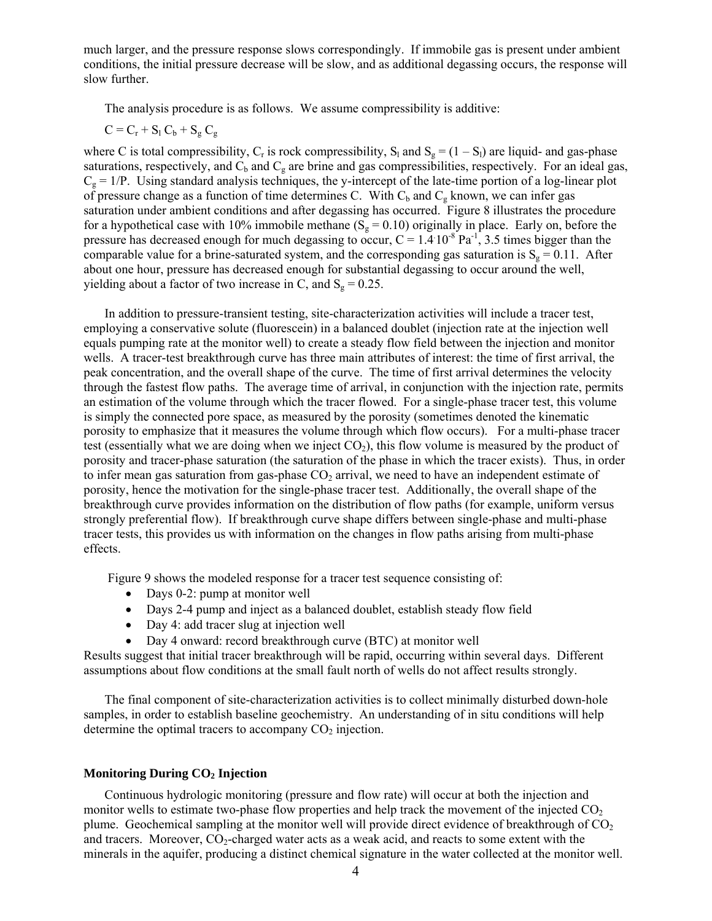much larger, and the pressure response slows correspondingly. If immobile gas is present under ambient conditions, the initial pressure decrease will be slow, and as additional degassing occurs, the response will slow further.

The analysis procedure is as follows. We assume compressibility is additive:

$$
C = C_{r} + S_{l} C_{b} + S_{g} C_{g}
$$

where C is total compressibility, C<sub>r</sub> is rock compressibility, S<sub>l</sub> and S<sub>g</sub> =  $(1 - S_l)$  are liquid- and gas-phase saturations, respectively, and  $C_b$  and  $C_g$  are brine and gas compressibilities, respectively. For an ideal gas,  $C_g = 1/P$ . Using standard analysis techniques, the y-intercept of the late-time portion of a log-linear plot of pressure change as a function of time determines C. With  $C_b$  and  $C_g$  known, we can infer gas saturation under ambient conditions and after degassing has occurred. Figure 8 illustrates the procedure for a hypothetical case with 10% immobile methane ( $S_g = 0.10$ ) originally in place. Early on, before the pressure has decreased enough for much degassing to occur,  $C = 1.4 \times 10^{-8}$  Pa<sup>-1</sup>, 3.5 times bigger than the comparable value for a brine-saturated system, and the corresponding gas saturation is  $S_g = 0.11$ . After about one hour, pressure has decreased enough for substantial degassing to occur around the well, yielding about a factor of two increase in C, and  $S_g = 0.25$ .

In addition to pressure-transient testing, site-characterization activities will include a tracer test, employing a conservative solute (fluorescein) in a balanced doublet (injection rate at the injection well equals pumping rate at the monitor well) to create a steady flow field between the injection and monitor wells. A tracer-test breakthrough curve has three main attributes of interest: the time of first arrival, the peak concentration, and the overall shape of the curve. The time of first arrival determines the velocity through the fastest flow paths. The average time of arrival, in conjunction with the injection rate, permits an estimation of the volume through which the tracer flowed. For a single-phase tracer test, this volume is simply the connected pore space, as measured by the porosity (sometimes denoted the kinematic porosity to emphasize that it measures the volume through which flow occurs). For a multi-phase tracer test (essentially what we are doing when we inject  $CO<sub>2</sub>$ ), this flow volume is measured by the product of porosity and tracer-phase saturation (the saturation of the phase in which the tracer exists). Thus, in order to infer mean gas saturation from gas-phase  $CO<sub>2</sub>$  arrival, we need to have an independent estimate of porosity, hence the motivation for the single-phase tracer test. Additionally, the overall shape of the breakthrough curve provides information on the distribution of flow paths (for example, uniform versus strongly preferential flow). If breakthrough curve shape differs between single-phase and multi-phase tracer tests, this provides us with information on the changes in flow paths arising from multi-phase effects.

Figure 9 shows the modeled response for a tracer test sequence consisting of:

- Days 0-2: pump at monitor well
- Days 2-4 pump and inject as a balanced doublet, establish steady flow field
- Day 4: add tracer slug at injection well
- Day 4 onward: record breakthrough curve (BTC) at monitor well

Results suggest that initial tracer breakthrough will be rapid, occurring within several days. Different assumptions about flow conditions at the small fault north of wells do not affect results strongly.

The final component of site-characterization activities is to collect minimally disturbed down-hole samples, in order to establish baseline geochemistry. An understanding of in situ conditions will help determine the optimal tracers to accompany  $CO<sub>2</sub>$  injection.

### **Monitoring During CO<sub>2</sub> Injection**

Continuous hydrologic monitoring (pressure and flow rate) will occur at both the injection and monitor wells to estimate two-phase flow properties and help track the movement of the injected  $CO<sub>2</sub>$ plume. Geochemical sampling at the monitor well will provide direct evidence of breakthrough of  $CO<sub>2</sub>$ and tracers. Moreover,  $CO_2$ -charged water acts as a weak acid, and reacts to some extent with the minerals in the aquifer, producing a distinct chemical signature in the water collected at the monitor well.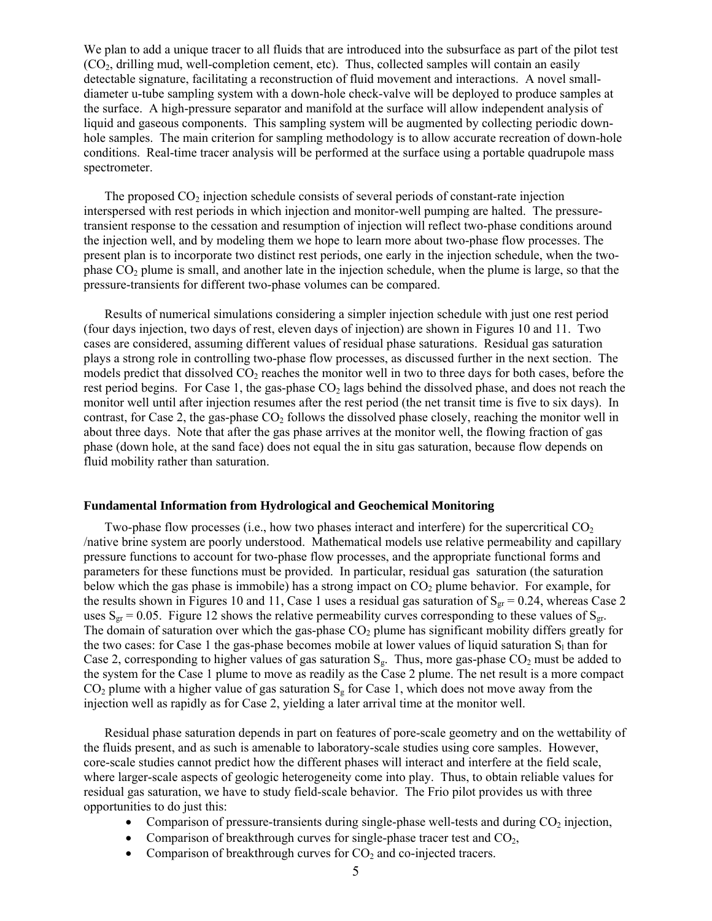We plan to add a unique tracer to all fluids that are introduced into the subsurface as part of the pilot test (CO2, drilling mud, well-completion cement, etc). Thus, collected samples will contain an easily detectable signature, facilitating a reconstruction of fluid movement and interactions. A novel smalldiameter u-tube sampling system with a down-hole check-valve will be deployed to produce samples at the surface. A high-pressure separator and manifold at the surface will allow independent analysis of liquid and gaseous components. This sampling system will be augmented by collecting periodic downhole samples. The main criterion for sampling methodology is to allow accurate recreation of down-hole conditions. Real-time tracer analysis will be performed at the surface using a portable quadrupole mass spectrometer.

The proposed  $CO<sub>2</sub>$  injection schedule consists of several periods of constant-rate injection interspersed with rest periods in which injection and monitor-well pumping are halted. The pressuretransient response to the cessation and resumption of injection will reflect two-phase conditions around the injection well, and by modeling them we hope to learn more about two-phase flow processes. The present plan is to incorporate two distinct rest periods, one early in the injection schedule, when the twophase  $CO<sub>2</sub>$  plume is small, and another late in the injection schedule, when the plume is large, so that the pressure-transients for different two-phase volumes can be compared.

Results of numerical simulations considering a simpler injection schedule with just one rest period (four days injection, two days of rest, eleven days of injection) are shown in Figures 10 and 11. Two cases are considered, assuming different values of residual phase saturations. Residual gas saturation plays a strong role in controlling two-phase flow processes, as discussed further in the next section. The models predict that dissolved  $CO<sub>2</sub>$  reaches the monitor well in two to three days for both cases, before the rest period begins. For Case 1, the gas-phase  $CO<sub>2</sub>$  lags behind the dissolved phase, and does not reach the monitor well until after injection resumes after the rest period (the net transit time is five to six days). In contrast, for Case 2, the gas-phase  $CO<sub>2</sub>$  follows the dissolved phase closely, reaching the monitor well in about three days. Note that after the gas phase arrives at the monitor well, the flowing fraction of gas phase (down hole, at the sand face) does not equal the in situ gas saturation, because flow depends on fluid mobility rather than saturation.

### **Fundamental Information from Hydrological and Geochemical Monitoring**

Two-phase flow processes (i.e., how two phases interact and interfere) for the supercritical  $CO<sub>2</sub>$ /native brine system are poorly understood. Mathematical models use relative permeability and capillary pressure functions to account for two-phase flow processes, and the appropriate functional forms and parameters for these functions must be provided. In particular, residual gas saturation (the saturation below which the gas phase is immobile) has a strong impact on  $CO<sub>2</sub>$  plume behavior. For example, for the results shown in Figures 10 and 11, Case 1 uses a residual gas saturation of  $S_{gr} = 0.24$ , whereas Case 2 uses  $S_{gr} = 0.05$ . Figure 12 shows the relative permeability curves corresponding to these values of  $S_{gr}$ . The domain of saturation over which the gas-phase  $CO<sub>2</sub>$  plume has significant mobility differs greatly for the two cases: for Case 1 the gas-phase becomes mobile at lower values of liquid saturation  $S<sub>l</sub>$  than for Case 2, corresponding to higher values of gas saturation  $S_g$ . Thus, more gas-phase  $CO_2$  must be added to the system for the Case 1 plume to move as readily as the Case 2 plume. The net result is a more compact  $CO<sub>2</sub>$  plume with a higher value of gas saturation S<sub>g</sub> for Case 1, which does not move away from the injection well as rapidly as for Case 2, yielding a later arrival time at the monitor well.

Residual phase saturation depends in part on features of pore-scale geometry and on the wettability of the fluids present, and as such is amenable to laboratory-scale studies using core samples. However, core-scale studies cannot predict how the different phases will interact and interfere at the field scale, where larger-scale aspects of geologic heterogeneity come into play. Thus, to obtain reliable values for residual gas saturation, we have to study field-scale behavior. The Frio pilot provides us with three opportunities to do just this:

- Comparison of pressure-transients during single-phase well-tests and during  $CO<sub>2</sub>$  injection,
- Comparison of breakthrough curves for single-phase tracer test and  $CO<sub>2</sub>$ ,
- Comparison of breakthrough curves for  $CO<sub>2</sub>$  and co-injected tracers.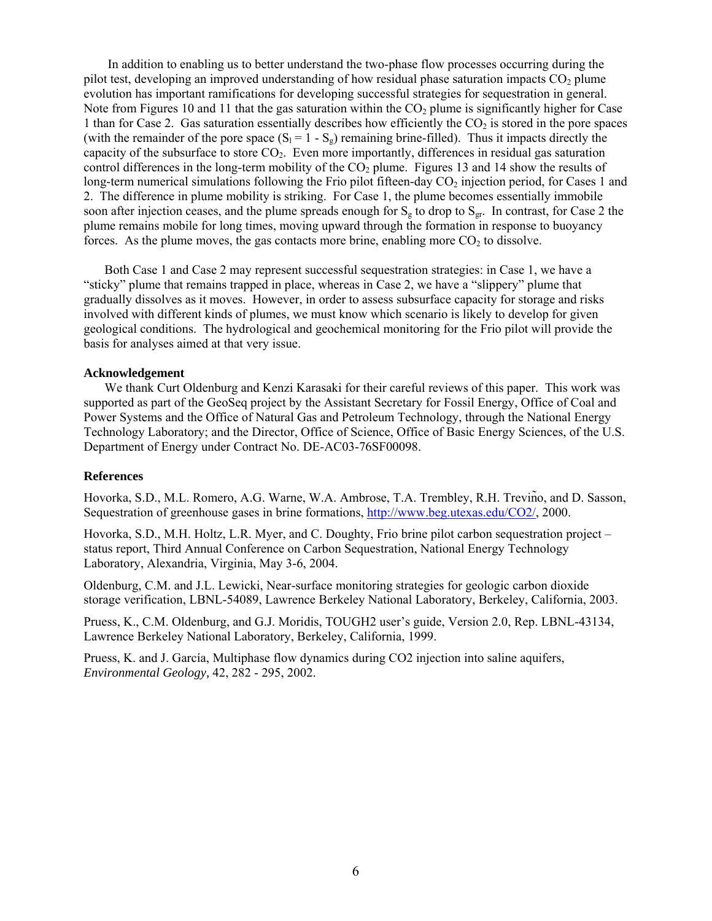In addition to enabling us to better understand the two-phase flow processes occurring during the pilot test, developing an improved understanding of how residual phase saturation impacts  $CO<sub>2</sub>$  plume evolution has important ramifications for developing successful strategies for sequestration in general. Note from Figures 10 and 11 that the gas saturation within the  $CO<sub>2</sub>$  plume is significantly higher for Case 1 than for Case 2. Gas saturation essentially describes how efficiently the  $CO<sub>2</sub>$  is stored in the pore spaces (with the remainder of the pore space  $(S_1 = 1 - S_g)$  remaining brine-filled). Thus it impacts directly the capacity of the subsurface to store  $CO<sub>2</sub>$ . Even more importantly, differences in residual gas saturation control differences in the long-term mobility of the  $CO<sub>2</sub>$  plume. Figures 13 and 14 show the results of long-term numerical simulations following the Frio pilot fifteen-day  $CO<sub>2</sub>$  injection period, for Cases 1 and 2. The difference in plume mobility is striking. For Case 1, the plume becomes essentially immobile soon after injection ceases, and the plume spreads enough for  $S_g$  to drop to  $S_{gr}$ . In contrast, for Case 2 the plume remains mobile for long times, moving upward through the formation in response to buoyancy forces. As the plume moves, the gas contacts more brine, enabling more  $CO<sub>2</sub>$  to dissolve.

Both Case 1 and Case 2 may represent successful sequestration strategies: in Case 1, we have a "sticky" plume that remains trapped in place, whereas in Case 2, we have a "slippery" plume that gradually dissolves as it moves. However, in order to assess subsurface capacity for storage and risks involved with different kinds of plumes, we must know which scenario is likely to develop for given geological conditions. The hydrological and geochemical monitoring for the Frio pilot will provide the basis for analyses aimed at that very issue.

### **Acknowledgement**

We thank Curt Oldenburg and Kenzi Karasaki for their careful reviews of this paper. This work was supported as part of the GeoSeq project by the Assistant Secretary for Fossil Energy, Office of Coal and Power Systems and the Office of Natural Gas and Petroleum Technology, through the National Energy Technology Laboratory; and the Director, Office of Science, Office of Basic Energy Sciences, of the U.S. Department of Energy under Contract No. DE-AC03-76SF00098.

### **References**

Hovorka, S.D., M.L. Romero, A.G. Warne, W.A. Ambrose, T.A. Trembley, R.H. Treviño, and D. Sasson, Sequestration of greenhouse gases in brine formations, http://www.beg.utexas.edu/CO2/, 2000.

Hovorka, S.D., M.H. Holtz, L.R. Myer, and C. Doughty, Frio brine pilot carbon sequestration project – status report, Third Annual Conference on Carbon Sequestration, National Energy Technology Laboratory, Alexandria, Virginia, May 3-6, 2004.

Oldenburg, C.M. and J.L. Lewicki, Near-surface monitoring strategies for geologic carbon dioxide storage verification, LBNL-54089, Lawrence Berkeley National Laboratory, Berkeley, California, 2003.

Pruess, K., C.M. Oldenburg, and G.J. Moridis, TOUGH2 user's guide, Version 2.0, Rep. LBNL-43134, Lawrence Berkeley National Laboratory, Berkeley, California, 1999.

Pruess, K. and J. García, Multiphase flow dynamics during CO2 injection into saline aquifers, *Environmental Geology,* 42, 282 - 295, 2002.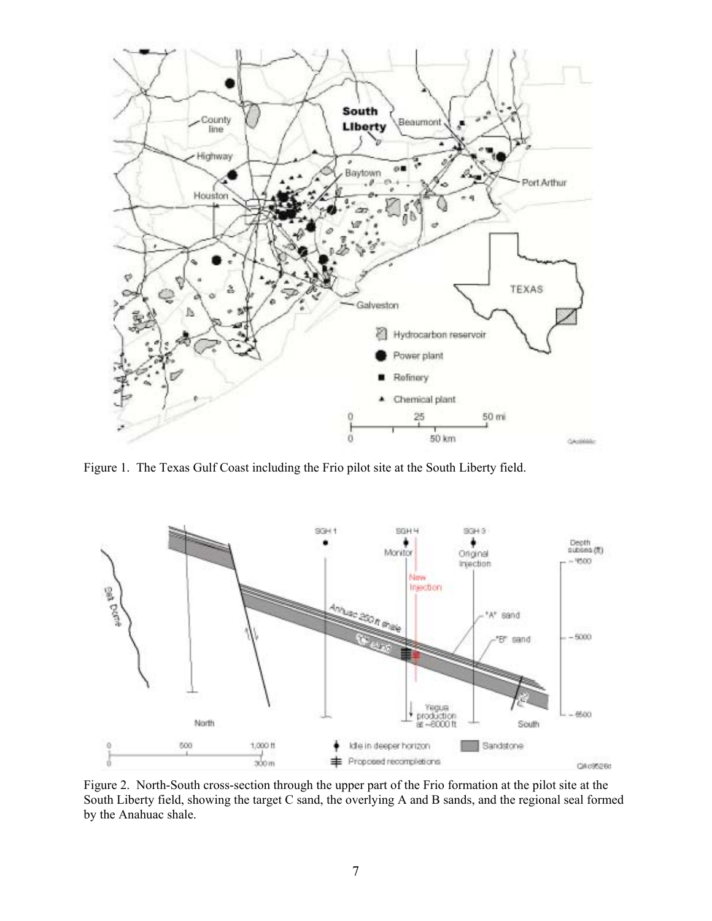

Figure 1. The Texas Gulf Coast including the Frio pilot site at the South Liberty field.



Figure 2. North-South cross-section through the upper part of the Frio formation at the pilot site at the South Liberty field, showing the target C sand, the overlying A and B sands, and the regional seal formed by the Anahuac shale.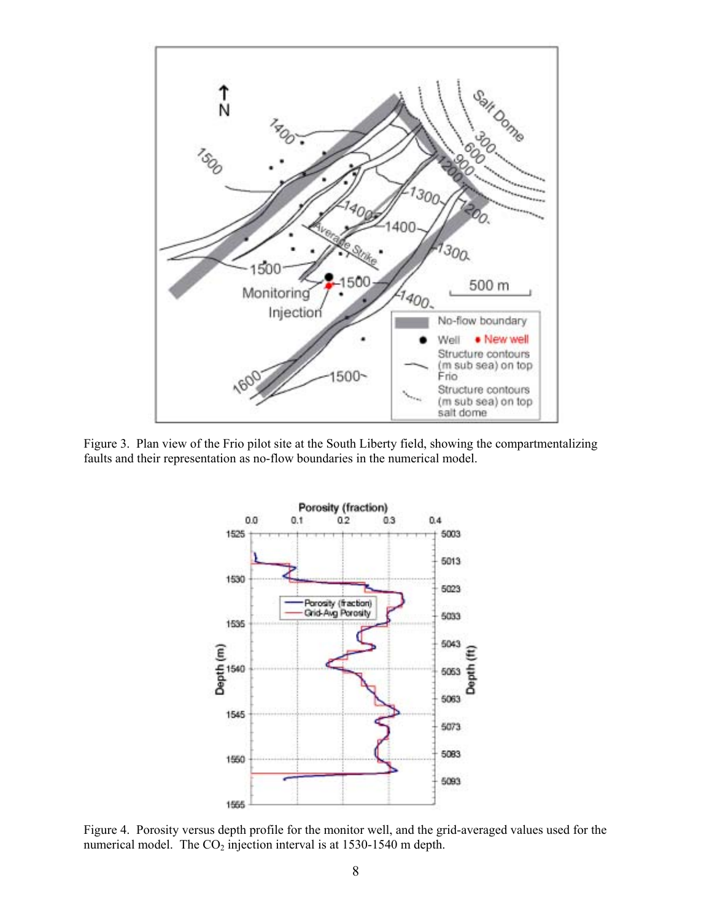

Figure 3. Plan view of the Frio pilot site at the South Liberty field, showing the compartmentalizing faults and their representation as no-flow boundaries in the numerical model.



Figure 4. Porosity versus depth profile for the monitor well, and the grid-averaged values used for the numerical model. The  $CO<sub>2</sub>$  injection interval is at 1530-1540 m depth.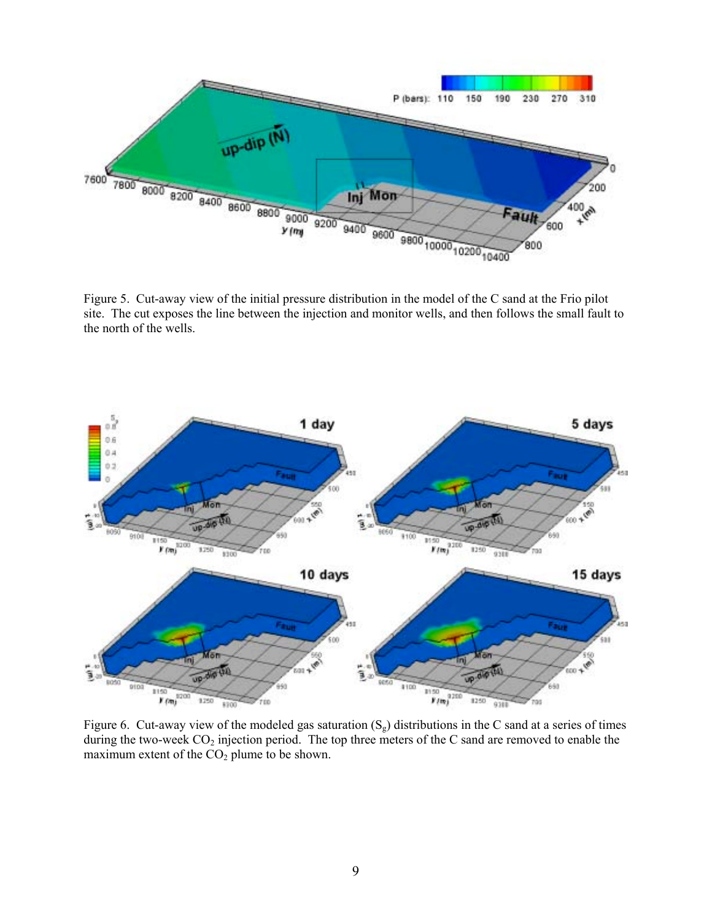

Figure 5. Cut-away view of the initial pressure distribution in the model of the C sand at the Frio pilot site. The cut exposes the line between the injection and monitor wells, and then follows the small fault to the north of the wells.



Figure 6. Cut-away view of the modeled gas saturation  $(S_g)$  distributions in the C sand at a series of times during the two-week  $CO_2$  injection period. The top three meters of the C sand are removed to enable the maximum extent of the  $CO<sub>2</sub>$  plume to be shown.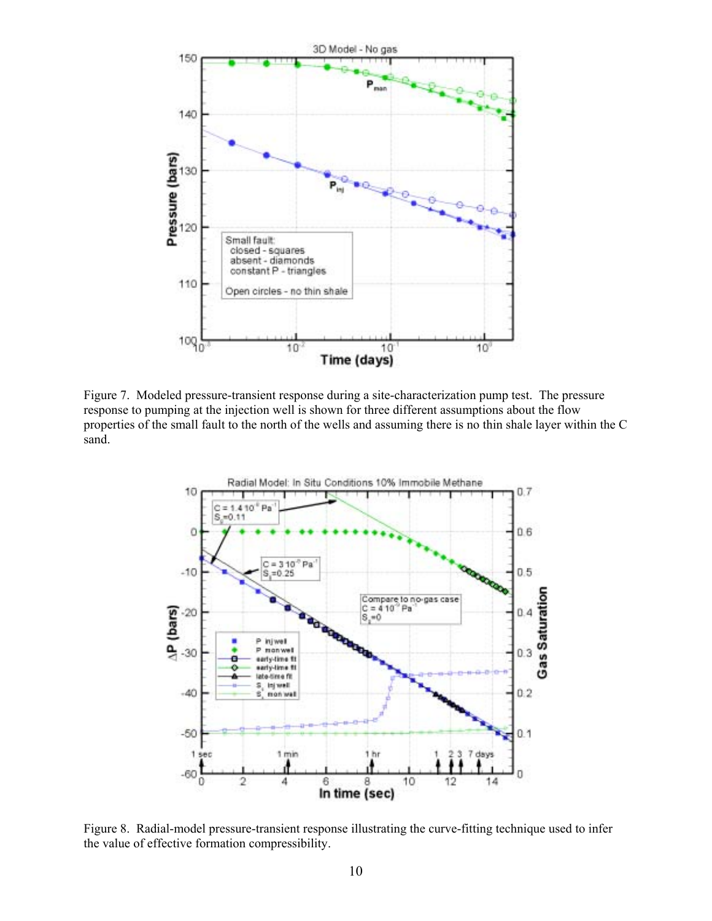

Figure 7. Modeled pressure-transient response during a site-characterization pump test. The pressure response to pumping at the injection well is shown for three different assumptions about the flow properties of the small fault to the north of the wells and assuming there is no thin shale layer within the C sand.



Figure 8. Radial-model pressure-transient response illustrating the curve-fitting technique used to infer the value of effective formation compressibility.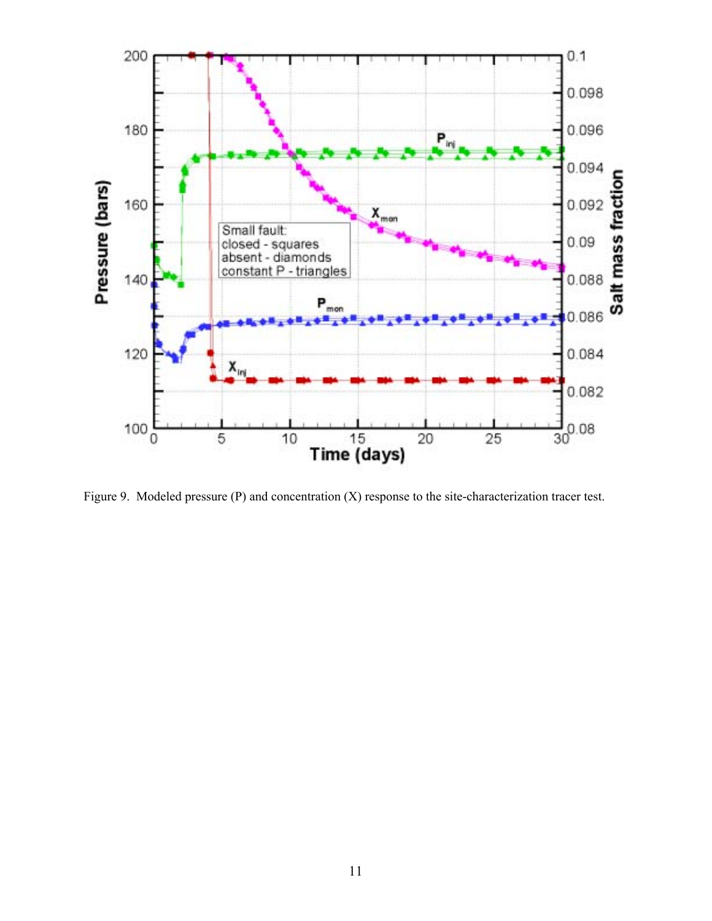

Figure 9. Modeled pressure (P) and concentration (X) response to the site-characterization tracer test.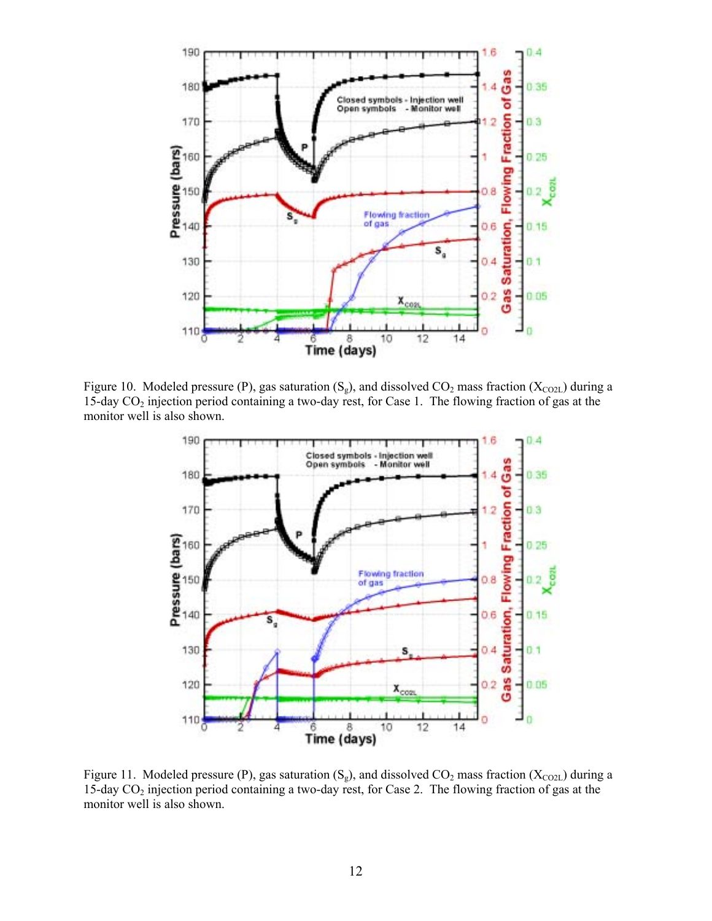

Figure 10. Modeled pressure (P), gas saturation  $(S_g)$ , and dissolved  $CO_2$  mass fraction (X<sub>CO2L</sub>) during a 15-day CO2 injection period containing a two-day rest, for Case 1. The flowing fraction of gas at the monitor well is also shown.



Figure 11. Modeled pressure (P), gas saturation  $(S_g)$ , and dissolved  $CO_2$  mass fraction  $(X_{CO2L})$  during a 15-day CO2 injection period containing a two-day rest, for Case 2. The flowing fraction of gas at the monitor well is also shown.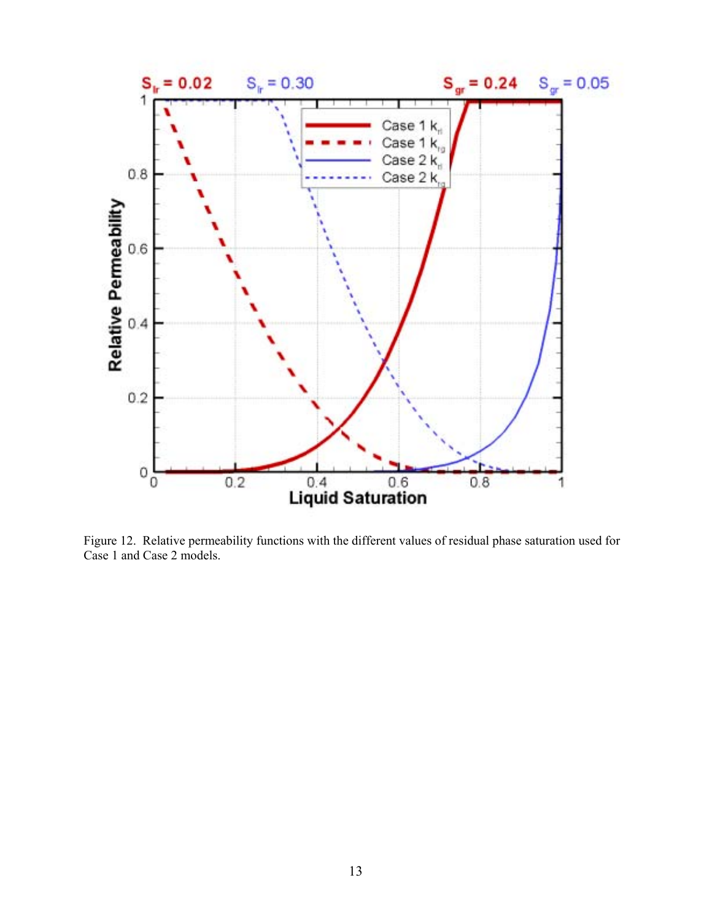

Figure 12. Relative permeability functions with the different values of residual phase saturation used for Case 1 and Case 2 models.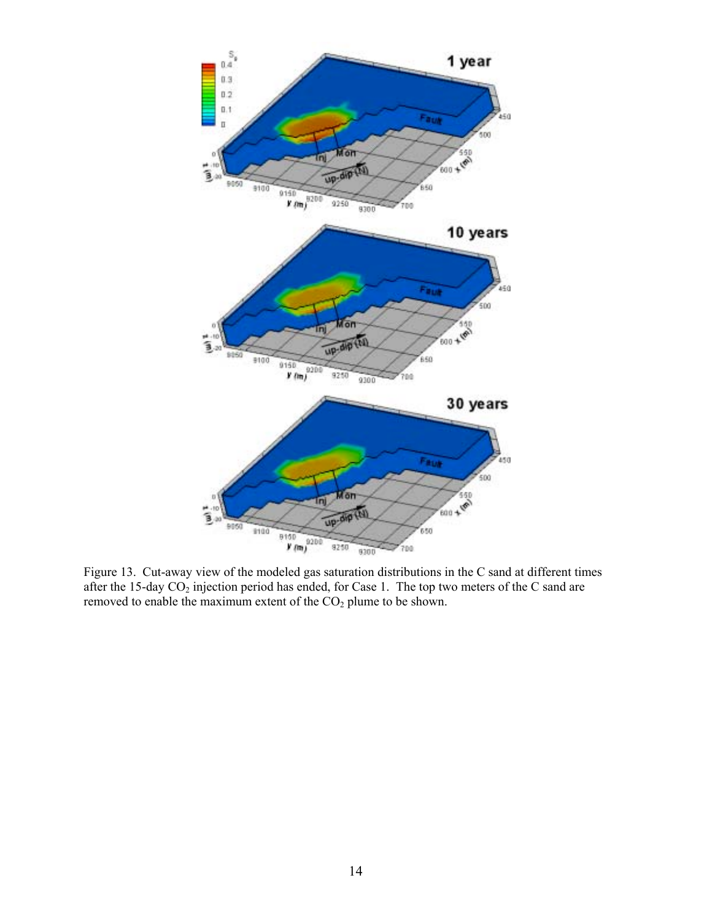

Figure 13. Cut-away view of the modeled gas saturation distributions in the C sand at different times after the 15-day CO<sub>2</sub> injection period has ended, for Case 1. The top two meters of the C sand are removed to enable the maximum extent of the CO<sub>2</sub> plume to be shown.